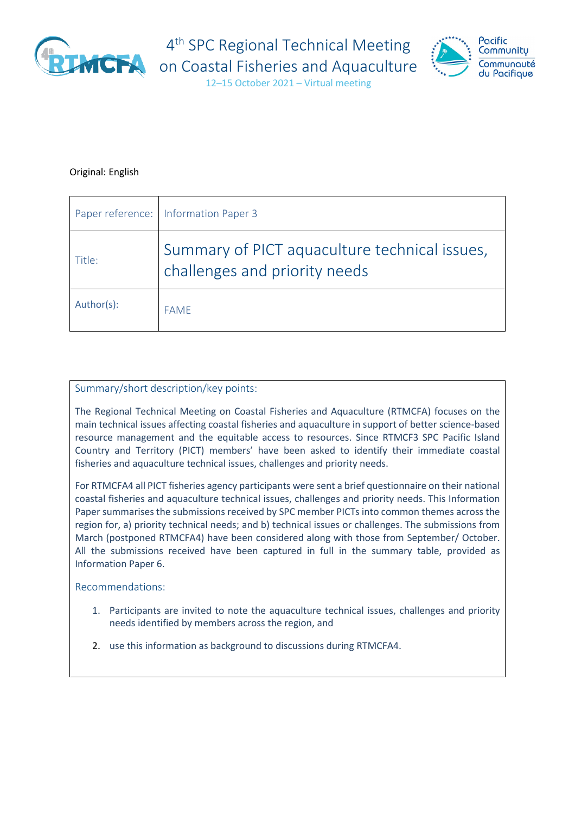

4<sup>th</sup> SPC Regional Technical Meeting



12–15 October 2021 – Virtual meeting

#### Original: English

|            | Paper reference:   Information Paper 3                                         |
|------------|--------------------------------------------------------------------------------|
| Title:     | Summary of PICT aquaculture technical issues,<br>challenges and priority needs |
| Author(s): | <b>FAME</b>                                                                    |

### Summary/short description/key points:

The Regional Technical Meeting on Coastal Fisheries and Aquaculture (RTMCFA) focuses on the main technical issues affecting coastal fisheries and aquaculture in support of better science-based resource management and the equitable access to resources. Since RTMCF3 SPC Pacific Island Country and Territory (PICT) members' have been asked to identify their immediate coastal fisheries and aquaculture technical issues, challenges and priority needs.

For RTMCFA4 all PICT fisheries agency participants were sent a brief questionnaire on their national coastal fisheries and aquaculture technical issues, challenges and priority needs. This Information Paper summarises the submissions received by SPC member PICTs into common themes across the region for, a) priority technical needs; and b) technical issues or challenges. The submissions from March (postponed RTMCFA4) have been considered along with those from September/ October. All the submissions received have been captured in full in the summary table, provided as Information Paper 6.

#### Recommendations:

- 1. Participants are invited to note the aquaculture technical issues, challenges and priority needs identified by members across the region, and
- 2. use this information as background to discussions during RTMCFA4.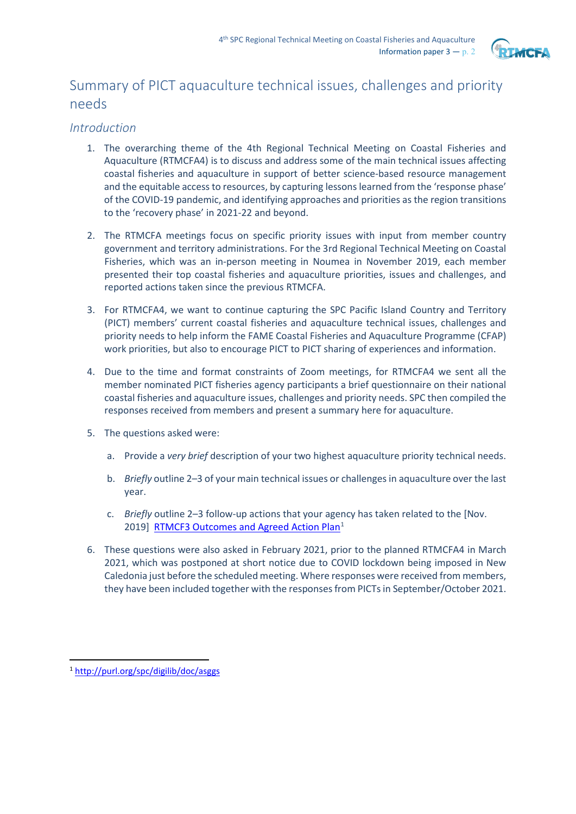

# Summary of PICT aquaculture technical issues, challenges and priority needs

## *Introduction*

- 1. The overarching theme of the 4th Regional Technical Meeting on Coastal Fisheries and Aquaculture (RTMCFA4) is to discuss and address some of the main technical issues affecting coastal fisheries and aquaculture in support of better science-based resource management and the equitable access to resources, by capturing lessons learned from the 'response phase' of the COVID-19 pandemic, and identifying approaches and priorities as the region transitions to the 'recovery phase' in 2021-22 and beyond.
- 2. The RTMCFA meetings focus on specific priority issues with input from member country government and territory administrations. For the 3rd Regional Technical Meeting on Coastal Fisheries, which was an in-person meeting in Noumea in November 2019, each member presented their top coastal fisheries and aquaculture priorities, issues and challenges, and reported actions taken since the previous RTMCFA.
- 3. For RTMCFA4, we want to continue capturing the SPC Pacific Island Country and Territory (PICT) members' current coastal fisheries and aquaculture technical issues, challenges and priority needs to help inform the FAME Coastal Fisheries and Aquaculture Programme (CFAP) work priorities, but also to encourage PICT to PICT sharing of experiences and information.
- 4. Due to the time and format constraints of Zoom meetings, for RTMCFA4 we sent all the member nominated PICT fisheries agency participants a brief questionnaire on their national coastal fisheries and aquaculture issues, challenges and priority needs. SPC then compiled the responses received from members and present a summary here for aquaculture.
- 5. The questions asked were:
	- a. Provide a *very brief* description of your two highest aquaculture priority technical needs.
	- b. *Briefly* outline 2–3 of your main technical issues or challenges in aquaculture over the last year.
	- c. *Briefly* outline 2–3 follow-up actions that your agency has taken related to the [Nov. 2019] [RTMCF3 Outcomes and Agreed Action Plan](http://purl.org/spc/digilib/doc/asggs)<sup>[1](#page-1-0)</sup>
- 6. These questions were also asked in February 2021, prior to the planned RTMCFA4 in March 2021, which was postponed at short notice due to COVID lockdown being imposed in New Caledonia just before the scheduled meeting. Where responses were received from members, they have been included together with the responses from PICTs in September/October 2021.

<span id="page-1-0"></span><sup>1</sup> <http://purl.org/spc/digilib/doc/asggs>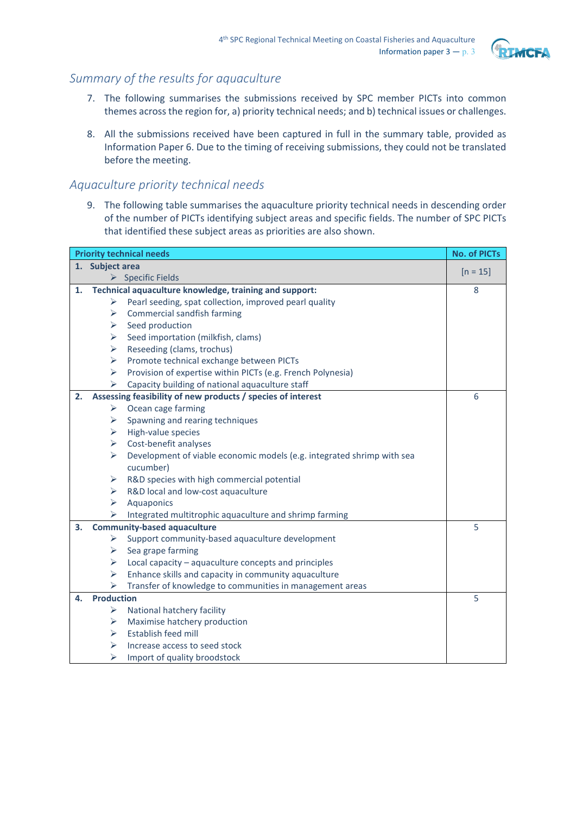

# *Summary of the results for aquaculture*

- 7. The following summarises the submissions received by SPC member PICTs into common themes across the region for, a) priority technical needs; and b) technical issues or challenges.
- 8. All the submissions received have been captured in full in the summary table, provided as Information Paper 6. Due to the timing of receiving submissions, they could not be translated before the meeting.

## *Aquaculture priority technical needs*

9. The following table summarises the aquaculture priority technical needs in descending order of the number of PICTs identifying subject areas and specific fields. The number of SPC PICTs that identified these subject areas as priorities are also shown.

| <b>Priority technical needs</b> |                       | <b>No. of PICTs</b>                                                    |            |
|---------------------------------|-----------------------|------------------------------------------------------------------------|------------|
|                                 | 1. Subject area       |                                                                        |            |
|                                 |                       | $\triangleright$ Specific Fields                                       | $[n = 15]$ |
| 1.                              |                       | Technical aquaculture knowledge, training and support:                 | 8          |
|                                 | ≻                     | Pearl seeding, spat collection, improved pearl quality                 |            |
|                                 | ➤                     | Commercial sandfish farming                                            |            |
|                                 | ➤                     | Seed production                                                        |            |
|                                 | ➤                     | Seed importation (milkfish, clams)                                     |            |
|                                 | ≻                     | Reseeding (clams, trochus)                                             |            |
|                                 | $\blacktriangleright$ | Promote technical exchange between PICTs                               |            |
|                                 | $\blacktriangleright$ | Provision of expertise within PICTs (e.g. French Polynesia)            |            |
|                                 | ➤                     | Capacity building of national aquaculture staff                        |            |
| 2.                              |                       | Assessing feasibility of new products / species of interest            | 6          |
|                                 | ≻                     | Ocean cage farming                                                     |            |
|                                 | ➤                     | Spawning and rearing techniques                                        |            |
|                                 | ➤                     | High-value species                                                     |            |
|                                 | ➤                     | Cost-benefit analyses                                                  |            |
|                                 | ➤                     | Development of viable economic models (e.g. integrated shrimp with sea |            |
|                                 |                       | cucumber)                                                              |            |
|                                 | ➤                     | R&D species with high commercial potential                             |            |
|                                 | $\blacktriangleright$ | R&D local and low-cost aquaculture                                     |            |
|                                 | ≻                     | Aquaponics                                                             |            |
|                                 | ≻                     | Integrated multitrophic aquaculture and shrimp farming                 |            |
| 3.                              |                       | <b>Community-based aquaculture</b>                                     | 5          |
|                                 | ➤                     | Support community-based aquaculture development                        |            |
|                                 | ➤                     | Sea grape farming                                                      |            |
|                                 | ≻                     | Local capacity - aquaculture concepts and principles                   |            |
|                                 | ➤                     | Enhance skills and capacity in community aquaculture                   |            |
|                                 | ➤                     | Transfer of knowledge to communities in management areas               |            |
| 4.                              | <b>Production</b>     |                                                                        | 5          |
|                                 | $\blacktriangleright$ | National hatchery facility                                             |            |
|                                 | ➤                     | Maximise hatchery production                                           |            |
|                                 | ➤                     | Establish feed mill                                                    |            |
|                                 | ⋗                     | Increase access to seed stock                                          |            |
|                                 | ➤                     | Import of quality broodstock                                           |            |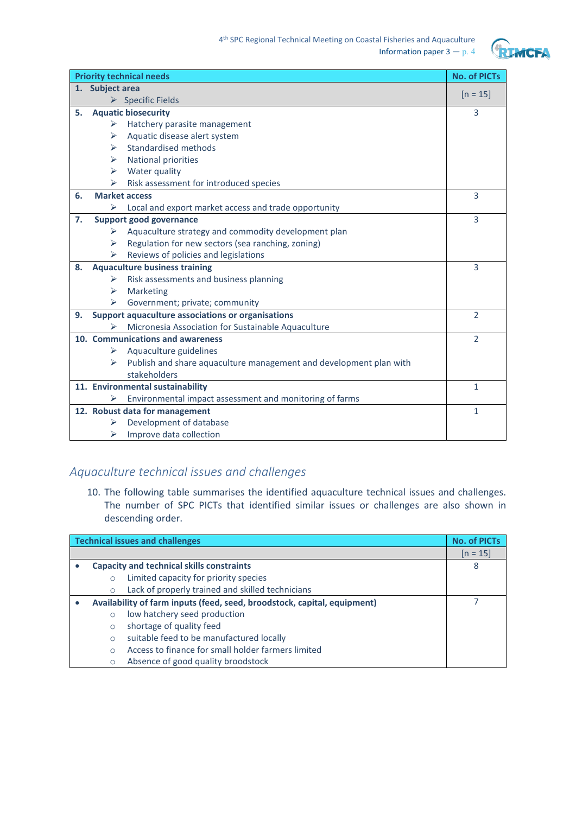

| <b>Priority technical needs</b> |                                | <b>No. of PICTs</b>                                                |                |
|---------------------------------|--------------------------------|--------------------------------------------------------------------|----------------|
|                                 | 1. Subject area                |                                                                    |                |
|                                 |                                | $\triangleright$ Specific Fields                                   | $[n = 15]$     |
| 5.                              |                                | <b>Aquatic biosecurity</b>                                         | 3              |
|                                 |                                | $\triangleright$ Hatchery parasite management                      |                |
|                                 | ≻                              | Aquatic disease alert system                                       |                |
|                                 | ➤                              | Standardised methods                                               |                |
|                                 | ≻                              | <b>National priorities</b>                                         |                |
|                                 | ≻                              | Water quality                                                      |                |
|                                 | ⋗                              | Risk assessment for introduced species                             |                |
| 6.                              |                                | <b>Market access</b>                                               | 3              |
|                                 | ⋗                              | Local and export market access and trade opportunity               |                |
| 7.                              |                                | <b>Support good governance</b>                                     | 3              |
|                                 | ⋗                              | Aquaculture strategy and commodity development plan                |                |
|                                 | ➤                              | Regulation for new sectors (sea ranching, zoning)                  |                |
|                                 | ➤                              | Reviews of policies and legislations                               |                |
| 8.                              |                                | <b>Aquaculture business training</b>                               | 3              |
|                                 | ➤                              | Risk assessments and business planning                             |                |
|                                 | ➤                              | Marketing                                                          |                |
|                                 | ➤                              | Government; private; community                                     |                |
| 9.                              |                                | Support aquaculture associations or organisations                  | $\overline{2}$ |
|                                 |                                | Micronesia Association for Sustainable Aquaculture                 |                |
|                                 |                                | 10. Communications and awareness                                   | $\mathfrak{D}$ |
|                                 | ≻                              | Aquaculture guidelines                                             |                |
|                                 | ⋗                              | Publish and share aquaculture management and development plan with |                |
|                                 |                                | stakeholders                                                       |                |
|                                 |                                | 11. Environmental sustainability                                   | $\mathbf{1}$   |
|                                 |                                | Environmental impact assessment and monitoring of farms            |                |
|                                 | 12. Robust data for management |                                                                    | $\mathbf{1}$   |
|                                 | ➤                              | Development of database                                            |                |
|                                 | ⋗                              | Improve data collection                                            |                |

# *Aquaculture technical issues and challenges*

10. The following table summarises the identified aquaculture technical issues and challenges. The number of SPC PICTs that identified similar issues or challenges are also shown in descending order.

| <b>Technical issues and challenges</b> |                                                  | <b>No. of PICTs</b>                                                      |            |
|----------------------------------------|--------------------------------------------------|--------------------------------------------------------------------------|------------|
|                                        |                                                  |                                                                          | $[n = 15]$ |
|                                        | <b>Capacity and technical skills constraints</b> |                                                                          | 8          |
|                                        | $\circ$                                          | Limited capacity for priority species                                    |            |
|                                        | $\circ$                                          | Lack of properly trained and skilled technicians                         |            |
|                                        |                                                  | Availability of farm inputs (feed, seed, broodstock, capital, equipment) |            |
|                                        | $\circ$                                          | low hatchery seed production                                             |            |
|                                        | $\circ$                                          | shortage of quality feed                                                 |            |
|                                        | $\circ$                                          | suitable feed to be manufactured locally                                 |            |
|                                        | Ω                                                | Access to finance for small holder farmers limited                       |            |
|                                        | O                                                | Absence of good quality broodstock                                       |            |